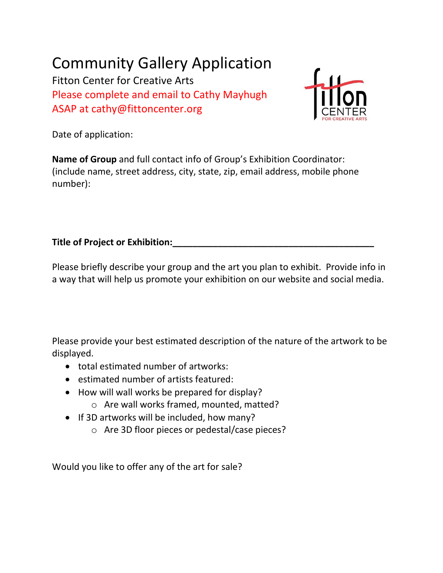## Community Gallery Application

Fitton Center for Creative Arts Please complete and email to Cathy Mayhugh ASAP at cathy@fittoncenter.org



Date of application:

**Name of Group** and full contact info of Group's Exhibition Coordinator: (include name, street address, city, state, zip, email address, mobile phone number):

## **Title of Project or Exhibition:**

Please briefly describe your group and the art you plan to exhibit. Provide info in a way that will help us promote your exhibition on our website and social media.

Please provide your best estimated description of the nature of the artwork to be displayed.

- total estimated number of artworks:
- estimated number of artists featured:
- How will wall works be prepared for display?
	- o Are wall works framed, mounted, matted?
- If 3D artworks will be included, how many?
	- o Are 3D floor pieces or pedestal/case pieces?

Would you like to offer any of the art for sale?